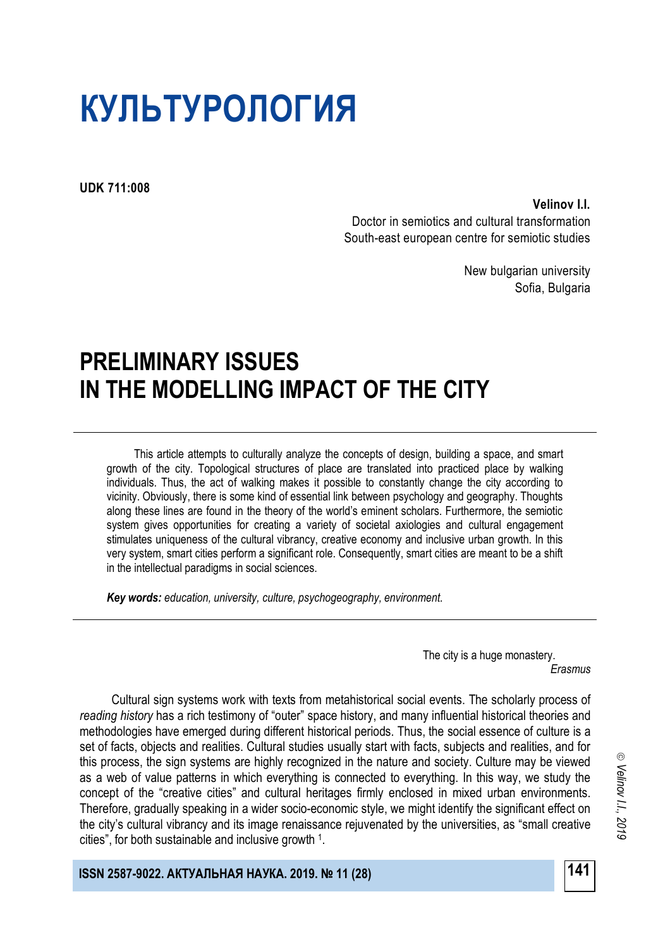# **КУЛЬТУРОЛОГИЯ**

**UDK 711:008**

**Velinov I.I.**

Doctor in semiotics and cultural transformation South-east european centre for semiotic studies

> New bulgarian university Sofia, Bulgaria

# **PRELIMINARY ISSUES IN THE MODELLING IMPACT OF THE CITY**

This article attempts to culturally analyze the concepts of design, building a space, and smart growth of the city. Topological structures of place are translated into practiced place by walking individuals. Thus, the act of walking makes it possible to constantly change the city according to vicinity. Obviously, there is some kind of essential link between psychology and geography. Thoughts along these lines are found in the theory of the world's eminent scholars. Furthermore, the semiotic system gives opportunities for creating a variety of societal axiologies and cultural engagement stimulates uniqueness of the cultural vibrancy, creative economy and inclusive urban growth. In this very system, smart cities perform a significant role. Consequently, smart cities are meant to be a shift in the intellectual paradigms in social sciences.

*Key words: education, university, culture, psychogeography, environment.*

The city is a huge monastery. *Erasmus*

Cultural sign systems work with texts from metahistorical social events. The scholarly process of *reading history* has a rich testimony of "outer" space history, and many influential historical theories and methodologies have emerged during different historical periods. Thus, the social essence of culture is a set of facts, objects and realities. Cultural studies usually start with facts, subjects and realities, and for this process, the sign systems are highly recognized in the nature and society. Culture may be viewed as a web of value patterns in which everything is connected to everything. In this way, we study the concept of the "creative cities" and cultural heritages firmly enclosed in mixed urban environments. Therefore, gradually speaking in a wider socio-economic style, we might identify the significant effect on the city's cultural vibrancy and its image renaissance rejuvenated by the universities, as "small creative cities", for both sustainable and inclusive growth <sup>1</sup> .

**141 ISSN 2587-9022. АКТУАЛЬНАЯ НАУКА. 2019. № 11 (28)**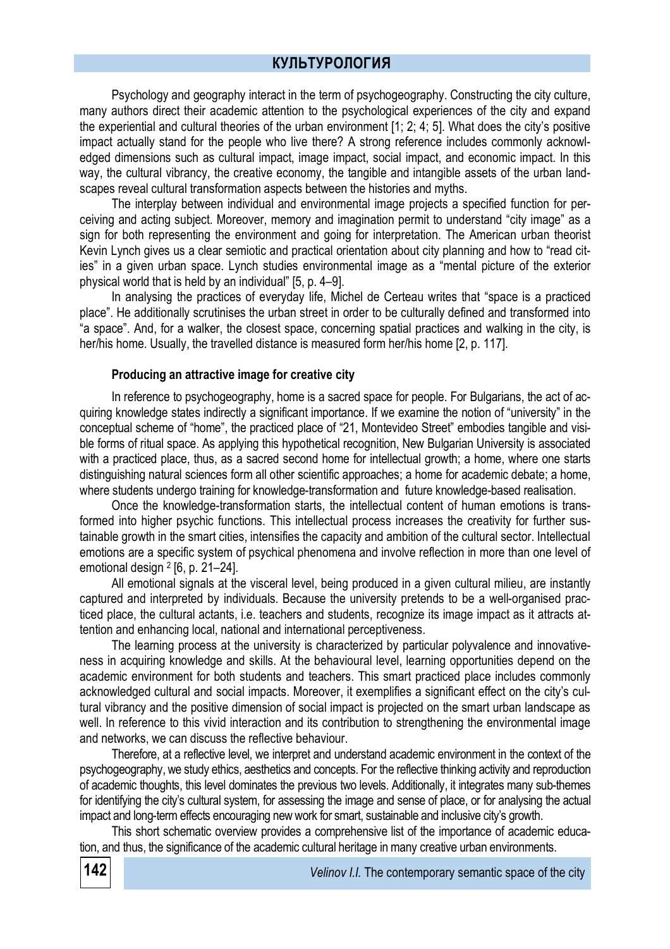Psychology and geography interact in the term of psychogeography. Constructing the city culture, many authors direct their academic attention to the psychological experiences of the city and expand the experiential and cultural theories of the urban environment [1; 2; 4; 5]. What does the city's positive impact actually stand for the people who live there? A strong reference includes commonly acknowledged dimensions such as cultural impact, image impact, social impact, and economic impact. In this way, the cultural vibrancy, the creative economy, the tangible and intangible assets of the urban landscapes reveal cultural transformation aspects between the histories and myths.

The interplay between individual and environmental image projects a specified function for perceiving and acting subject. Moreover, memory and imagination permit to understand "city image" as a sign for both representing the environment and going for interpretation. The American urban theorist Kevin Lynch gives us a clear semiotic and practical orientation about city planning and how to "read cities" in a given urban space. Lynch studies environmental image as a "mental picture of the exterior physical world that is held by an individual" [5, p. 4–9].

In analysing the practices of everyday life, Michel de Certeau writes that "space is a practiced place". He additionally scrutinises the urban street in order to be culturally defined and transformed into "a space". And, for a walker, the closest space, concerning spatial practices and walking in the city, is her/his home. Usually, the travelled distance is measured form her/his home [2, p. 117].

#### **Producing an attractive image for creative city**

In reference to psychogeography, home is a sacred space for people. For Bulgarians, the act of acquiring knowledge states indirectly a significant importance. If we examine the notion of "university" in the conceptual scheme of "home", the practiced place of "21, Montevideo Street" embodies tangible and visible forms of ritual space. As applying this hypothetical recognition, New Bulgarian University is associated with a practiced place, thus, as a sacred second home for intellectual growth; a home, where one starts distinguishing natural sciences form all other scientific approaches; a home for academic debate; a home, where students undergo training for knowledge-transformation and future knowledge-based realisation.

Once the knowledge-transformation starts, the intellectual content of human emotions is transformed into higher psychic functions. This intellectual process increases the creativity for further sustainable growth in the smart cities, intensifies the capacity and ambition of the cultural sector. Intellectual emotions are a specific system of psychical phenomena and involve reflection in more than one level of emotional design <sup>2</sup> [6, p. 21–24].

All emotional signals at the visceral level, being produced in a given cultural milieu, are instantly captured and interpreted by individuals. Because the university pretends to be a well-organised practiced place, the cultural actants, i.e. teachers and students, recognize its image impact as it attracts attention and enhancing local, national and international perceptiveness.

The learning process at the university is characterized by particular polyvalence and innovativeness in acquiring knowledge and skills. At the behavioural level, learning opportunities depend on the academic environment for both students and teachers. This smart practiced place includes commonly acknowledged cultural and social impacts. Moreover, it exemplifies a significant effect on the city's cultural vibrancy and the positive dimension of social impact is projected on the smart urban landscape as well. In reference to this vivid interaction and its contribution to strengthening the environmental image and networks, we can discuss the reflective behaviour.

Therefore, at a reflective level, we interpret and understand academic environment in the context of the psychogeography, we study ethics, aesthetics and concepts. For the reflective thinking activity and reproduction of academic thoughts, this level dominates the previous two levels. Additionally, it integrates many sub-themes for identifying the city's cultural system, for assessing the image and sense of place, or for analysing the actual impact and long-term effects encouraging new work for smart, sustainable and inclusive city's growth.

This short schematic overview provides a comprehensive list of the importance of academic education, and thus, the significance of the academic cultural heritage in many creative urban environments.

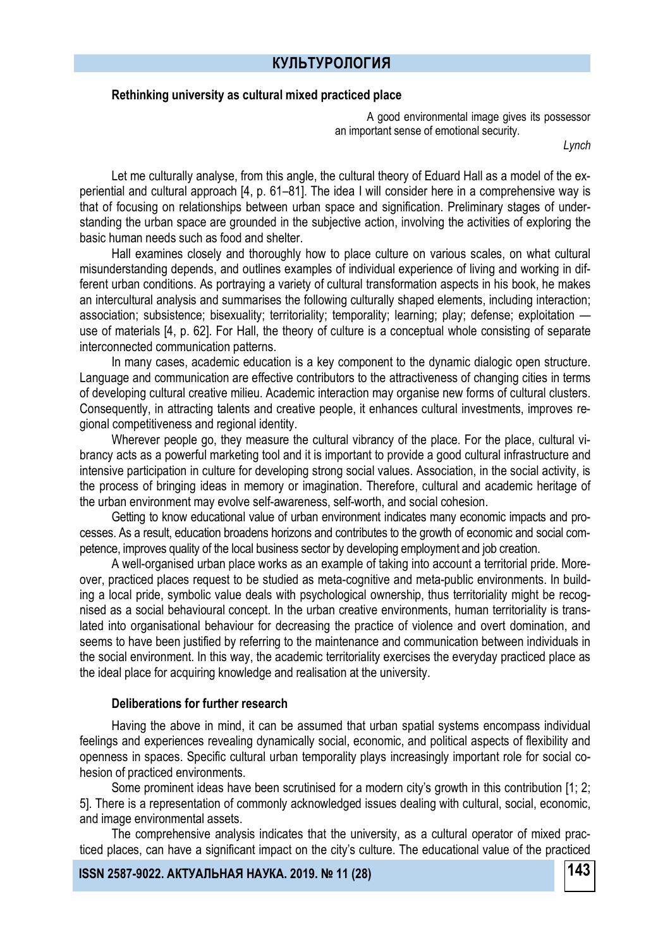### **Rethinking university as cultural mixed practiced place**

A good environmental image gives its possessor an important sense of emotional security.

*Lynch*

Let me culturally analyse, from this angle, the cultural theory of Eduard Hall as a model of the experiential and cultural approach [4, p. 61–81]. The idea I will consider here in a comprehensive way is that of focusing on relationships between urban space and signification. Preliminary stages of understanding the urban space are grounded in the subjective action, involving the activities of exploring the basic human needs such as food and shelter.

Hall examines closely and thoroughly how to place culture on various scales, on what cultural misunderstanding depends, and outlines examples of individual experience of living and working in different urban conditions. As portraying a variety of cultural transformation aspects in his book, he makes an intercultural analysis and summarises the following culturally shaped elements, including interaction; association; subsistence; bisexuality; territoriality; temporality; learning; play; defense; exploitation use of materials [4, p. 62]. For Hall, the theory of culture is a conceptual whole consisting of separate interconnected communication patterns.

In many cases, academic education is a key component to the dynamic dialogic open structure. Language and communication are effective contributors to the attractiveness of changing cities in terms of developing cultural creative milieu. Academic interaction may organise new forms of cultural clusters. Consequently, in attracting talents and creative people, it enhances cultural investments, improves regional competitiveness and regional identity.

Wherever people go, they measure the cultural vibrancy of the place. For the place, cultural vibrancy acts as a powerful marketing tool and it is important to provide a good cultural infrastructure and intensive participation in culture for developing strong social values. Association, in the social activity, is the process of bringing ideas in memory or imagination. Therefore, cultural and academic heritage of the urban environment may evolve self-awareness, self-worth, and social cohesion.

Getting to know educational value of urban environment indicates many economic impacts and processes. As a result, education broadens horizons and contributes to the growth of economic and social competence, improves quality of the local business sector by developing employment and job creation.

A well-organised urban place works as an example of taking into account a territorial pride. Moreover, practiced places request to be studied as meta-cognitive and meta-public environments. In building a local pride, symbolic value deals with psychological ownership, thus territoriality might be recognised as a social behavioural concept. In the urban creative environments, human territoriality is translated into organisational behaviour for decreasing the practice of violence and overt domination, and seems to have been justified by referring to the maintenance and communication between individuals in the social environment. In this way, the academic territoriality exercises the everyday practiced place as the ideal place for acquiring knowledge and realisation at the university.

#### **Deliberations for further research**

Having the above in mind, it can be assumed that urban spatial systems encompass individual feelings and experiences revealing dynamically social, economic, and political aspects of flexibility and openness in spaces. Specific cultural urban temporality plays increasingly important role for social cohesion of practiced environments.

Some prominent ideas have been scrutinised for a modern city's growth in this contribution [1; 2; 5]. There is a representation of commonly acknowledged issues dealing with cultural, social, economic, and image environmental assets.

The comprehensive analysis indicates that the university, as a cultural operator of mixed practiced places, can have a significant impact on the city's culture. The educational value of the practiced

**143 ISSN 2587-9022. АКТУАЛЬНАЯ НАУКА. 2019. № 11 (28)**